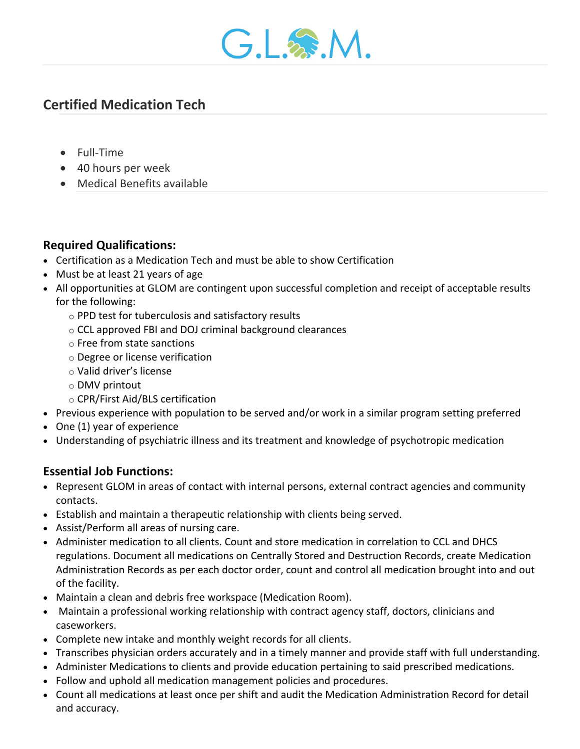

# **Certified Medication Tech**

- Full-Time
- 40 hours per week
- Medical Benefits available

## **Required Qualifications:**

- Certification as a Medication Tech and must be able to show Certification
- Must be at least 21 years of age
- All opportunities at GLOM are contingent upon successful completion and receipt of acceptable results for the following:
	- o PPD test for tuberculosis and satisfactory results
	- o CCL approved FBI and DOJ criminal background clearances
	- o Free from state sanctions
	- o Degree or license verification
	- o Valid driver's license
	- o DMV printout
	- o CPR/First Aid/BLS certification
- Previous experience with population to be served and/or work in a similar program setting preferred
- One (1) year of experience
- Understanding of psychiatric illness and its treatment and knowledge of psychotropic medication

## **Essential Job Functions:**

- Represent GLOM in areas of contact with internal persons, external contract agencies and community contacts.
- Establish and maintain a therapeutic relationship with clients being served.
- Assist/Perform all areas of nursing care.
- Administer medication to all clients. Count and store medication in correlation to CCL and DHCS regulations. Document all medications on Centrally Stored and Destruction Records, create Medication Administration Records as per each doctor order, count and control all medication brought into and out of the facility.
- Maintain a clean and debris free workspace (Medication Room).
- Maintain a professional working relationship with contract agency staff, doctors, clinicians and caseworkers.
- Complete new intake and monthly weight records for all clients.
- Transcribes physician orders accurately and in a timely manner and provide staff with full understanding.
- Administer Medications to clients and provide education pertaining to said prescribed medications.
- Follow and uphold all medication management policies and procedures.
- Count all medications at least once per shift and audit the Medication Administration Record for detail and accuracy.